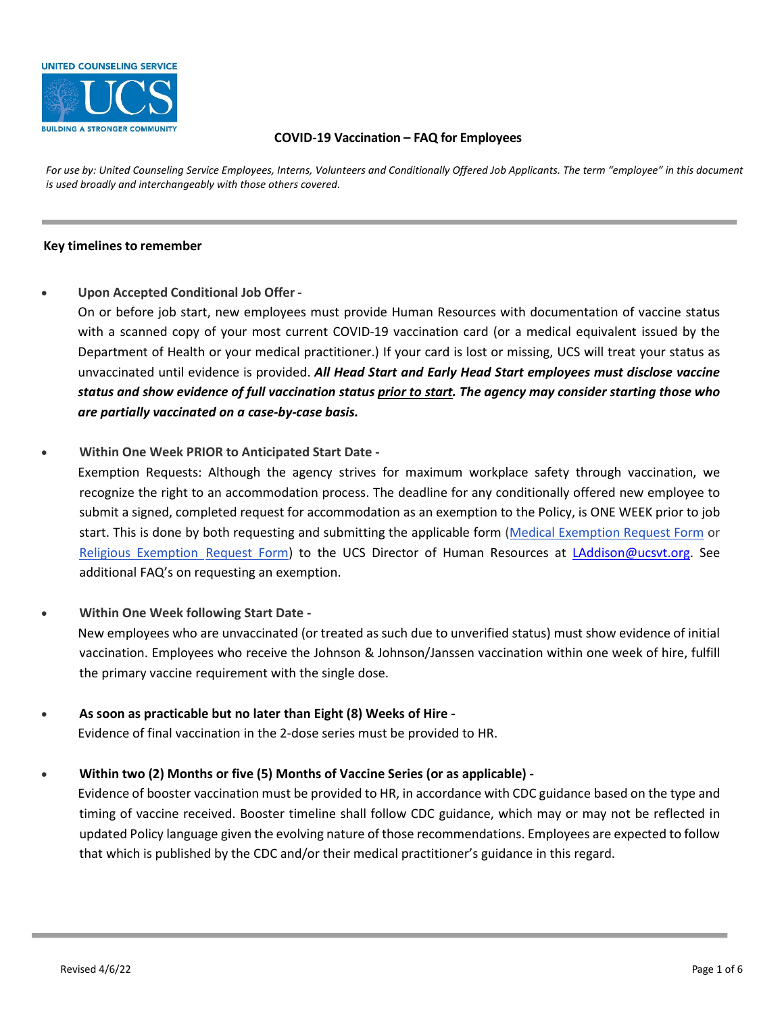

### **COVID-19 Vaccination – FAQ for Employees**

*For use by: United Counseling Service Employees, Interns, Volunteers and Conditionally Offered Job Applicants. The term "employee" in this document is used broadly and interchangeably with those others covered.* 

#### **Key timelines to remember**

### • **Upon Accepted Conditional Job Offer -**

On or before job start, new employees must provide Human Resources with documentation of vaccine status with a scanned copy of your most current COVID-19 vaccination card (or a medical equivalent issued by the Department of Health or your medical practitioner.) If your card is lost or missing, UCS will treat your status as unvaccinated until evidence is provided. *All Head Start and Early Head Start employees must disclose vaccine status and show evidence of full vaccination status prior to start. The agency may consider starting those who are partially vaccinated on a case-by-case basis.*

### • **Within One Week PRIOR to Anticipated Start Date -**

Exemption Requests: Although the agency strives for maximum workplace safety through vaccination, we recognize the right to an accommodation process. The deadline for any conditionally offered new employee to submit a signed, completed request for accommodation as an exemption to the Policy, is ONE WEEK prior to job start. This is done by both requesting and submitting the applicable form (Medical Exemption Request Form or Religious Exemption [Request Form\)](http://policy.hitchcock.org/docview/?docid=45756&anonymous=true) to the UCS Director of Human Resources at *LAddison@ucsvt.org*. See additional FAQ's on requesting an exemption.

- **Within One Week following Start Date**  New employees who are unvaccinated (or treated as such due to unverified status) must show evidence of initial vaccination. Employees who receive the Johnson & Johnson/Janssen vaccination within one week of hire, fulfill the primary vaccine requirement with the single dose.
- **As soon as practicable but no later than Eight (8) Weeks of Hire**  Evidence of final vaccination in the 2-dose series must be provided to HR.

## • **Within two (2) Months or five (5) Months of Vaccine Series (or as applicable) -**

Evidence of booster vaccination must be provided to HR, in accordance with CDC guidance based on the type and timing of vaccine received. Booster timeline shall follow CDC guidance, which may or may not be reflected in updated Policy language given the evolving nature of those recommendations. Employees are expected to follow that which is published by the CDC and/or their medical practitioner's guidance in this regard.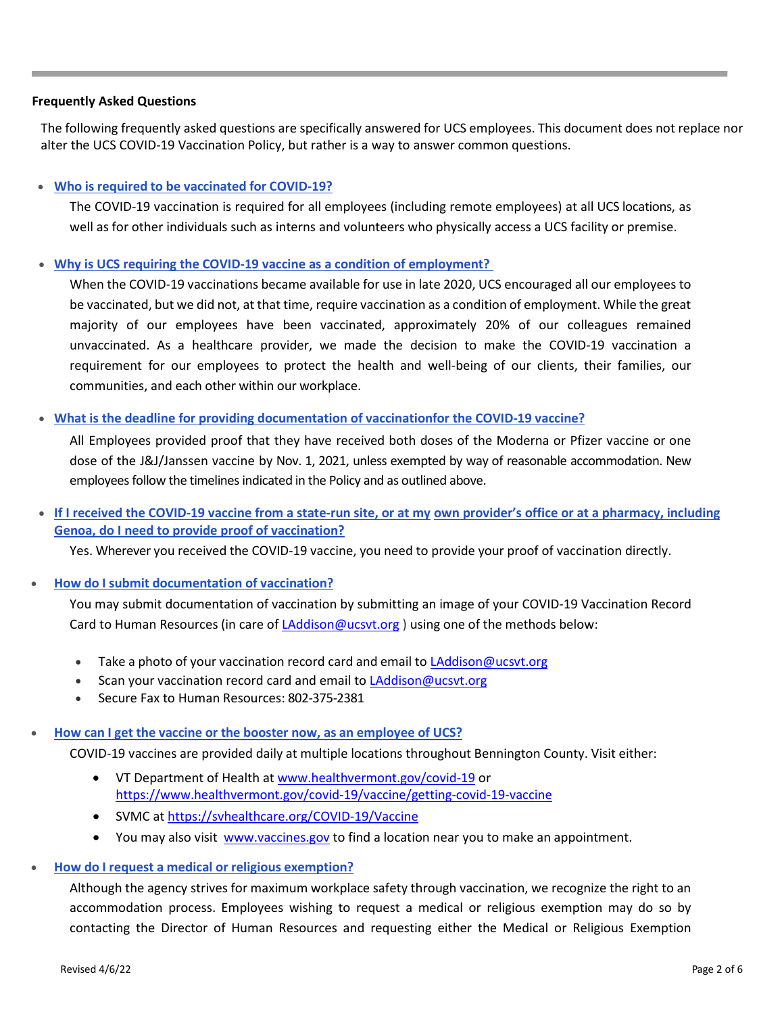### **Frequently Asked Questions**

The following frequently asked questions are specifically answered for UCS employees. This document does not replace nor alter the UCS COVID-19 Vaccination Policy, but rather is a way to answer common questions.

## • **Who is required to be vaccinated for COVID-19?**

The COVID-19 vaccination is required for all employees (including remote employees) at all UCS locations, as well as for other individuals such as interns and volunteers who physically access a UCS facility or premise.

## • **Why is UCS requiring the COVID-19 vaccine as a condition of employment?**

When the COVID-19 vaccinations became available for use in late 2020, UCS encouraged all our employees to be vaccinated, but we did not, at that time, require vaccination as a condition of employment. While the great majority of our employees have been vaccinated, approximately 20% of our colleagues remained unvaccinated. As a healthcare provider, we made the decision to make the COVID-19 vaccination a requirement for our employees to protect the health and well-being of our clients, their families, our communities, and each other within our workplace.

### • **What is the deadline for providing documentation of vaccinationfor the COVID-19 vaccine?**

All Employees provided proof that they have received both doses of the Moderna or Pfizer vaccine or one dose of the J&J/Janssen vaccine by Nov. 1, 2021, unless exempted by way of reasonable accommodation. New employees follow the timelines indicated in the Policy and as outlined above.

# • **If I received the COVID-19 vaccine from a state-run site, or at my own provider's office or at a pharmacy, including Genoa, do I need to provide proof of vaccination?**

Yes. Wherever you received the COVID-19 vaccine, you need to provide your proof of vaccination directly.

## • **How do I submit documentation of vaccination?**

You may submit documentation of vaccination by submitting an image of your COVID-19 Vaccination Record Card to Human Resources (in care of [LAddison@ucsvt.org](mailto:LAddison@ucsvt.org) ) using one of the methods below:

- Take a photo of your vaccination record card and email to **LAddison@ucsvt.org**
- Scan your vaccination record card and email t[o LAddison@ucsvt.org](mailto:LAddison@ucsvt.org)
- Secure Fax to Human Resources: 802-375-2381

# • **How can I get the vaccine or the booster now, as an employee of UCS?**

COVID-19 vaccines are provided daily at multiple locations throughout Bennington County. Visit either:

- VT Department of Health at [www.healthvermont.gov/covid-19](http://www.healthvermont.gov/covid-19) or <https://www.healthvermont.gov/covid-19/vaccine/getting-covid-19-vaccine>
- SVMC at<https://svhealthcare.org/COVID-19/Vaccine>
- You may also visit [www.vaccines.gov](http://www.vaccines.gov/) to find a location near you to make an appointment.
- **How do I request a medical or religious exemption?**

Although the agency strives for maximum workplace safety through vaccination, we recognize the right to an accommodation process. Employees wishing to request a medical or religious exemption may do so by contacting the Director of Human Resources and requesting either the Medical or Religious Exemption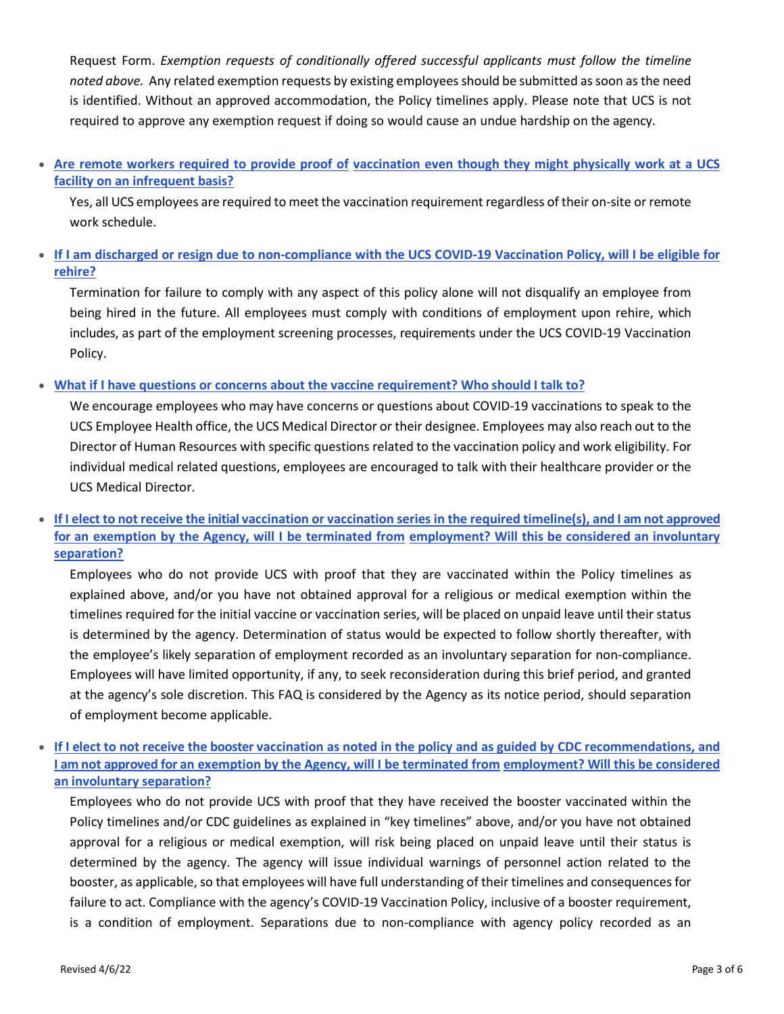Request Form. *Exemption requests of conditionally offered successful applicants must follow the timeline noted above.* Any related exemption requests by existing employees should be submitted as soon as the need is identified. Without an approved accommodation, the Policy timelines apply. Please note that UCS is not required to approve any exemption request if doing so would cause an undue hardship on the agency.

• **Are remote workers required to provide proof of vaccination even though they might physically work at a UCS facility on an infrequent basis?**

Yes, all UCS employees are required to meet the vaccination requirement regardless of their on-site or remote work schedule.

• **If I am discharged or resign due to non-compliance with the UCS COVID-19 Vaccination Policy, will I be eligible for rehire?**

Termination for failure to comply with any aspect of this policy alone will not disqualify an employee from being hired in the future. All employees must comply with conditions of employment upon rehire, which includes, as part of the employment screening processes, requirements under the UCS COVID-19 Vaccination Policy.

## • **What if I have questions or concerns about the vaccine requirement? Who should I talk to?**

We encourage employees who may have concerns or questions about COVID-19 vaccinations to speak to the UCS Employee Health office, the UCS Medical Director or their designee. Employees may also reach out to the Director of Human Resources with specific questions related to the vaccination policy and work eligibility. For individual medical related questions, employees are encouraged to talk with their healthcare provider or the UCS Medical Director.

• **If I elect to not receive the initial vaccination or vaccination series in the required timeline(s), and I am not approved for an exemption by the Agency, will I be terminated from employment? Will this be considered an involuntary separation?**

Employees who do not provide UCS with proof that they are vaccinated within the Policy timelines as explained above, and/or you have not obtained approval for a religious or medical exemption within the timelines required for the initial vaccine or vaccination series, will be placed on unpaid leave until their status is determined by the agency. Determination of status would be expected to follow shortly thereafter, with the employee's likely separation of employment recorded as an involuntary separation for non-compliance. Employees will have limited opportunity, if any, to seek reconsideration during this brief period, and granted at the agency's sole discretion. This FAQ is considered by the Agency as its notice period, should separation of employment become applicable.

• **If I elect to not receive the booster vaccination as noted in the policy and as guided by CDC recommendations, and I am not approved for an exemption by the Agency, will I be terminated from employment? Will this be considered an involuntary separation?**

Employees who do not provide UCS with proof that they have received the booster vaccinated within the Policy timelines and/or CDC guidelines as explained in "key timelines" above, and/or you have not obtained approval for a religious or medical exemption, will risk being placed on unpaid leave until their status is determined by the agency. The agency will issue individual warnings of personnel action related to the booster, as applicable, so that employees will have full understanding of their timelines and consequences for failure to act. Compliance with the agency's COVID-19 Vaccination Policy, inclusive of a booster requirement, is a condition of employment. Separations due to non-compliance with agency policy recorded as an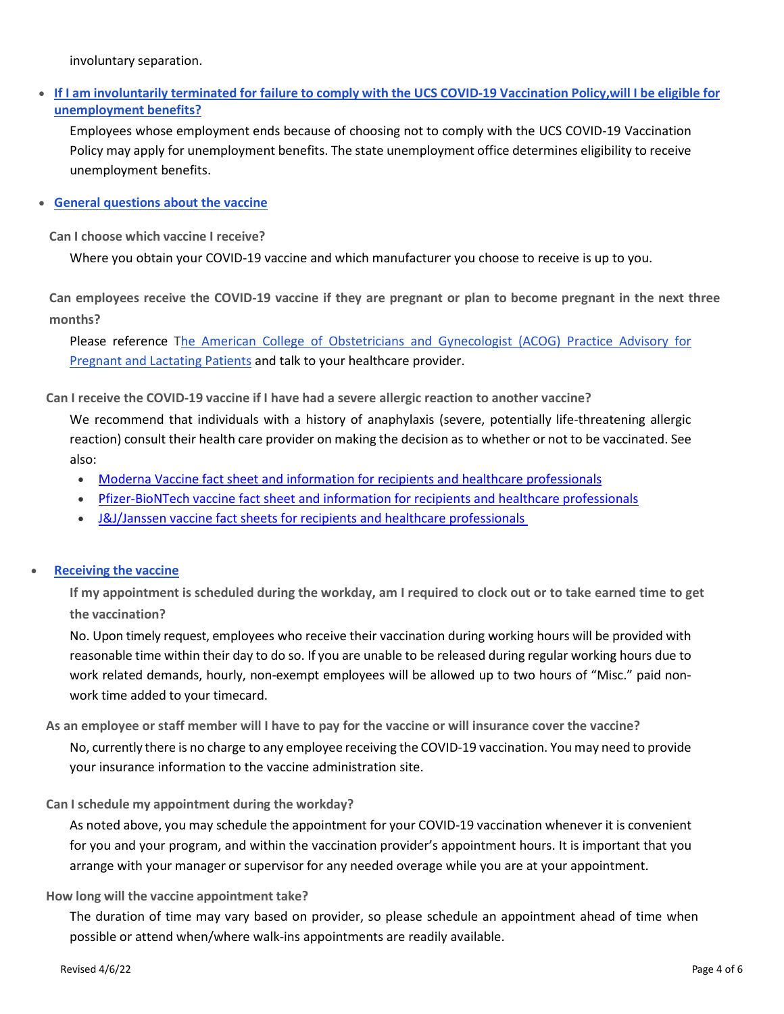involuntary separation.

• **If I am involuntarily terminated for failure to comply with the UCS COVID-19 Vaccination Policy, will I be eligible for unemployment benefits?**

Employees whose employment ends because of choosing not to comply with the UCS COVID-19 Vaccination Policy may apply for unemployment benefits. The state unemployment office determines eligibility to receive unemployment benefits.

• **General questions about the vaccine**

**Can I choose which vaccine I receive?**

Where you obtain your COVID-19 vaccine and which manufacturer you choose to receive is up to you.

**Can employees receive the COVID-19 vaccine if they are pregnant or plan to become pregnant in the next three months?**

Please reference [The American College of Obstetricians and Gynecologist \(ACOG\) Practice Advisory for](https://www.acog.org/clinical/clinical-guidance/practice-advisory/articles/2020/12/vaccinating-pregnant-and-lactating-patients-against-covid-19) [Pregnant and Lactating Patients](https://www.acog.org/clinical/clinical-guidance/practice-advisory/articles/2020/12/vaccinating-pregnant-and-lactating-patients-against-covid-19) and talk to your healthcare provider.

**Can I receive the COVID-19 vaccine if I have had a severe allergic reaction to another vaccine?**

We recommend that individuals with a history of anaphylaxis (severe, potentially life-threatening allergic reaction) consult their health care provider on making the decision as to whether or not to be vaccinated. See also:

- [Moderna Vaccine fact sheet and information for recipients and healthcare professionals](https://www.modernatx.com/covid19vaccine-eua/)
- [Pfizer-BioNTech vaccine fact sheet and information for recipients and healthcare professionals](https://www.cvdvaccine-us.com/)
- [J&J/Janssen vaccine fact sheets for recipients and healthcare professionals](https://www.fda.gov/emergency-preparedness-and-response/coronavirus-disease-2019-covid-19/janssen-covid-19-vaccine#additional)

## • **Receiving the vaccine**

If my appointment is scheduled during the workday, am I required to clock out or to take earned time to get **the vaccination?**

No. Upon timely request, employees who receive their vaccination during working hours will be provided with reasonable time within their day to do so. If you are unable to be released during regular working hours due to work related demands, hourly, non-exempt employees will be allowed up to two hours of "Misc." paid nonwork time added to your timecard.

**As an employee or staff member will I have to pay for the vaccine or will insurance cover the vaccine?**

No, currently there is no charge to any employee receiving the COVID-19 vaccination. You may need to provide your insurance information to the vaccine administration site.

## **Can I schedule my appointment during the workday?**

As noted above, you may schedule the appointment for your COVID-19 vaccination whenever it is convenient for you and your program, and within the vaccination provider's appointment hours. It is important that you arrange with your manager or supervisor for any needed overage while you are at your appointment.

## **How long will the vaccine appointment take?**

The duration of time may vary based on provider, so please schedule an appointment ahead of time when possible or attend when/where walk-ins appointments are readily available.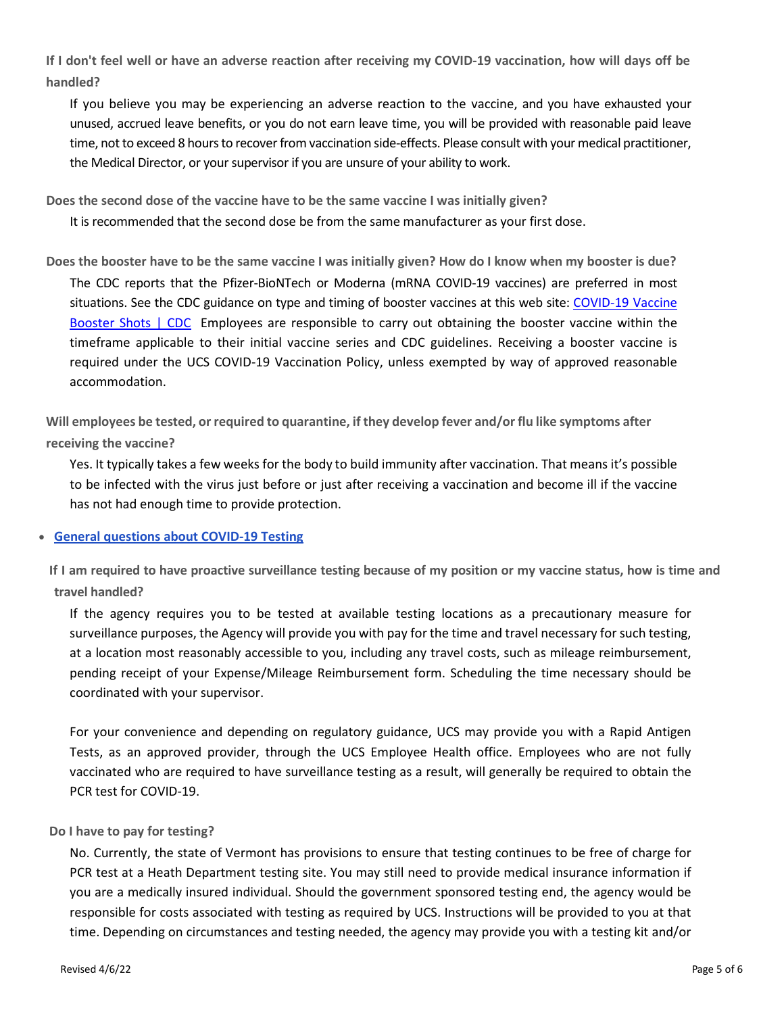**If I don't feel well or have an adverse reaction after receiving my COVID-19 vaccination, how will days off be handled?**

If you believe you may be experiencing an adverse reaction to the vaccine, and you have exhausted your unused, accrued leave benefits, or you do not earn leave time, you will be provided with reasonable paid leave time, not to exceed 8 hours to recover from vaccination side-effects. Please consult with your medical practitioner, the Medical Director, or your supervisor if you are unsure of your ability to work.

**Does the second dose of the vaccine have to be the same vaccine I was initially given?**

It is recommended that the second dose be from the same manufacturer as your first dose.

**Does the booster have to be the same vaccine I was initially given? How do I know when my booster is due?** The CDC reports that the Pfizer-BioNTech or Moderna (mRNA COVID-19 vaccines) are preferred in most situations. See the CDC guidance on type and timing of booster vaccines at this web site: COVID-19 Vaccine [Booster Shots | CDC](https://www.cdc.gov/coronavirus/2019-ncov/vaccines/booster-shot.html) Employees are responsible to carry out obtaining the booster vaccine within the timeframe applicable to their initial vaccine series and CDC guidelines. Receiving a booster vaccine is required under the UCS COVID-19 Vaccination Policy, unless exempted by way of approved reasonable accommodation.

**Will employees be tested, or required to quarantine, if they develop fever and/or flu like symptoms after receiving the vaccine?**

Yes. It typically takes a few weeks for the body to build immunity after vaccination. That means it's possible to be infected with the virus just before or just after receiving a vaccination and become ill if the vaccine has not had enough time to provide protection.

## • **General questions about COVID-19 Testing**

**If I am required to have proactive surveillance testing because of my position or my vaccine status, how is time and travel handled?** 

If the agency requires you to be tested at available testing locations as a precautionary measure for surveillance purposes, the Agency will provide you with pay for the time and travel necessary for such testing, at a location most reasonably accessible to you, including any travel costs, such as mileage reimbursement, pending receipt of your Expense/Mileage Reimbursement form. Scheduling the time necessary should be coordinated with your supervisor.

For your convenience and depending on regulatory guidance, UCS may provide you with a Rapid Antigen Tests, as an approved provider, through the UCS Employee Health office. Employees who are not fully vaccinated who are required to have surveillance testing as a result, will generally be required to obtain the PCR test for COVID-19.

#### **Do I have to pay for testing?**

No. Currently, the state of Vermont has provisions to ensure that testing continues to be free of charge for PCR test at a Heath Department testing site. You may still need to provide medical insurance information if you are a medically insured individual. Should the government sponsored testing end, the agency would be responsible for costs associated with testing as required by UCS. Instructions will be provided to you at that time. Depending on circumstances and testing needed, the agency may provide you with a testing kit and/or